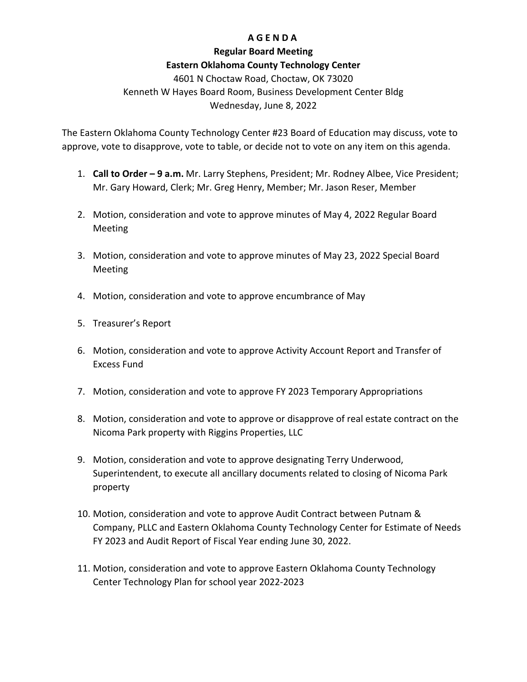## **A G E N D A**

### **Regular Board Meeting**

## **Eastern Oklahoma County Technology Center**

4601 N Choctaw Road, Choctaw, OK 73020 Kenneth W Hayes Board Room, Business Development Center Bldg Wednesday, June 8, 2022

The Eastern Oklahoma County Technology Center #23 Board of Education may discuss, vote to approve, vote to disapprove, vote to table, or decide not to vote on any item on this agenda.

- 1. **Call to Order – 9 a.m.** Mr. Larry Stephens, President; Mr. Rodney Albee, Vice President; Mr. Gary Howard, Clerk; Mr. Greg Henry, Member; Mr. Jason Reser, Member
- 2. Motion, consideration and vote to approve minutes of May 4, 2022 Regular Board Meeting
- 3. Motion, consideration and vote to approve minutes of May 23, 2022 Special Board Meeting
- 4. Motion, consideration and vote to approve encumbrance of May
- 5. Treasurer's Report
- 6. Motion, consideration and vote to approve Activity Account Report and Transfer of Excess Fund
- 7. Motion, consideration and vote to approve FY 2023 Temporary Appropriations
- 8. Motion, consideration and vote to approve or disapprove of real estate contract on the Nicoma Park property with Riggins Properties, LLC
- 9. Motion, consideration and vote to approve designating Terry Underwood, Superintendent, to execute all ancillary documents related to closing of Nicoma Park property
- 10. Motion, consideration and vote to approve Audit Contract between Putnam & Company, PLLC and Eastern Oklahoma County Technology Center for Estimate of Needs FY 2023 and Audit Report of Fiscal Year ending June 30, 2022.
- 11. Motion, consideration and vote to approve Eastern Oklahoma County Technology Center Technology Plan for school year 2022-2023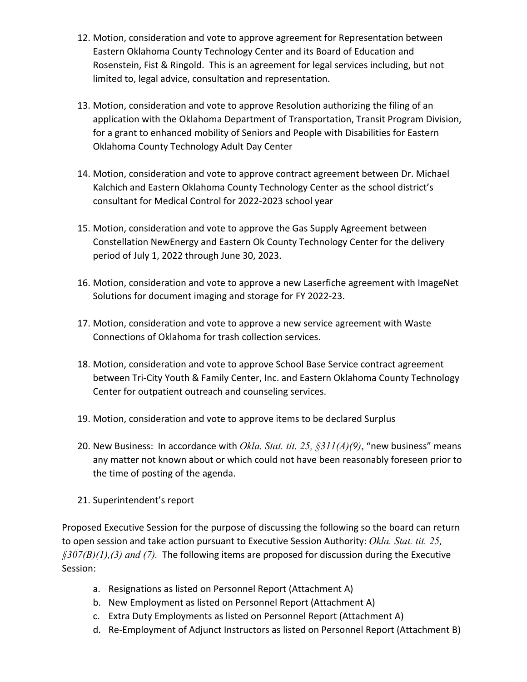- 12. Motion, consideration and vote to approve agreement for Representation between Eastern Oklahoma County Technology Center and its Board of Education and Rosenstein, Fist & Ringold. This is an agreement for legal services including, but not limited to, legal advice, consultation and representation.
- 13. Motion, consideration and vote to approve Resolution authorizing the filing of an application with the Oklahoma Department of Transportation, Transit Program Division, for a grant to enhanced mobility of Seniors and People with Disabilities for Eastern Oklahoma County Technology Adult Day Center
- 14. Motion, consideration and vote to approve contract agreement between Dr. Michael Kalchich and Eastern Oklahoma County Technology Center as the school district's consultant for Medical Control for 2022-2023 school year
- 15. Motion, consideration and vote to approve the Gas Supply Agreement between Constellation NewEnergy and Eastern Ok County Technology Center for the delivery period of July 1, 2022 through June 30, 2023.
- 16. Motion, consideration and vote to approve a new Laserfiche agreement with ImageNet Solutions for document imaging and storage for FY 2022-23.
- 17. Motion, consideration and vote to approve a new service agreement with Waste Connections of Oklahoma for trash collection services.
- 18. Motion, consideration and vote to approve School Base Service contract agreement between Tri-City Youth & Family Center, Inc. and Eastern Oklahoma County Technology Center for outpatient outreach and counseling services.
- 19. Motion, consideration and vote to approve items to be declared Surplus
- 20. New Business: In accordance with *Okla. Stat. tit. 25, §311(A)(9)*, "new business" means any matter not known about or which could not have been reasonably foreseen prior to the time of posting of the agenda.
- 21. Superintendent's report

Proposed Executive Session for the purpose of discussing the following so the board can return to open session and take action pursuant to Executive Session Authority: *Okla. Stat. tit. 25, §307(B)(1),(3) and (7).* The following items are proposed for discussion during the Executive Session:

- a. Resignations as listed on Personnel Report (Attachment A)
- b. New Employment as listed on Personnel Report (Attachment A)
- c. Extra Duty Employments as listed on Personnel Report (Attachment A)
- d. Re-Employment of Adjunct Instructors as listed on Personnel Report (Attachment B)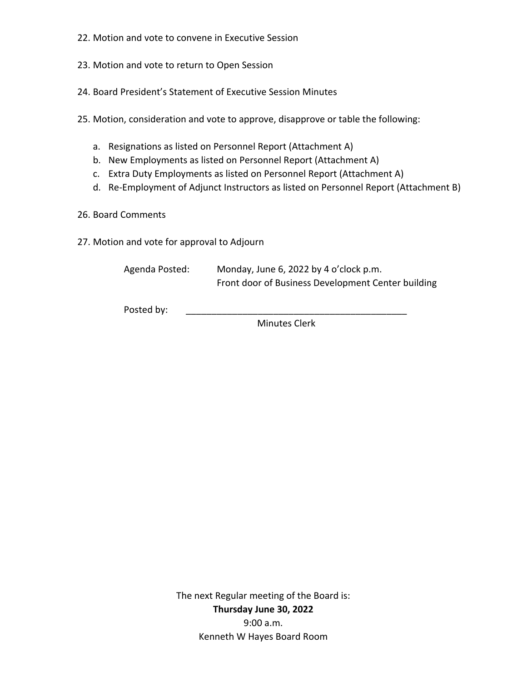- 22. Motion and vote to convene in Executive Session
- 23. Motion and vote to return to Open Session
- 24. Board President's Statement of Executive Session Minutes
- 25. Motion, consideration and vote to approve, disapprove or table the following:
	- a. Resignations as listed on Personnel Report (Attachment A)
	- b. New Employments as listed on Personnel Report (Attachment A)
	- c. Extra Duty Employments as listed on Personnel Report (Attachment A)
	- d. Re-Employment of Adjunct Instructors as listed on Personnel Report (Attachment B)
- 26. Board Comments
- 27. Motion and vote for approval to Adjourn

Agenda Posted: Monday, June 6, 2022 by 4 o'clock p.m. Front door of Business Development Center building

Posted by:

Minutes Clerk

The next Regular meeting of the Board is: **Thursday June 30, 2022** 9:00 a.m. Kenneth W Hayes Board Room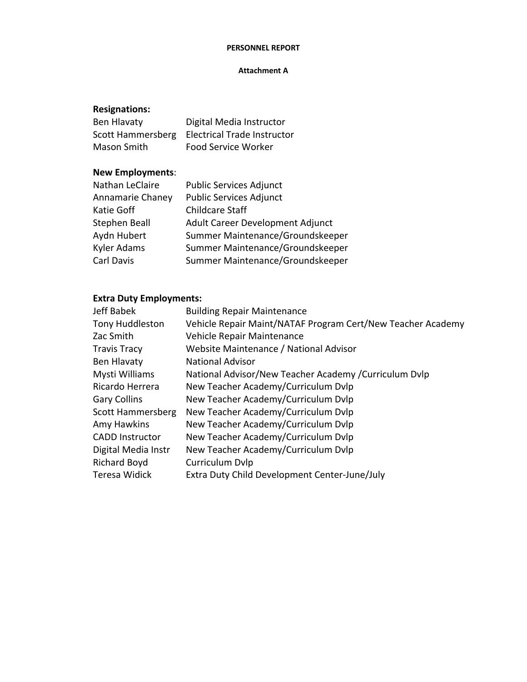#### **PERSONNEL REPORT**

### **Attachment A**

# **Resignations:**

| Ben Hlavaty       | Digital Media Instructor           |
|-------------------|------------------------------------|
| Scott Hammersberg | <b>Electrical Trade Instructor</b> |
| Mason Smith       | <b>Food Service Worker</b>         |

# **New Employments**:

| Nathan LeClaire      | Public Services Adjunct          |
|----------------------|----------------------------------|
| Annamarie Chaney     | <b>Public Services Adjunct</b>   |
| Katie Goff           | <b>Childcare Staff</b>           |
| <b>Stephen Beall</b> | Adult Career Development Adjunct |
| Aydn Hubert          | Summer Maintenance/Groundskeeper |
| Kyler Adams          | Summer Maintenance/Groundskeeper |
| Carl Davis           | Summer Maintenance/Groundskeeper |
|                      |                                  |

# **Extra Duty Employments:**

| <b>Jeff Babek</b>        | <b>Building Repair Maintenance</b>                          |
|--------------------------|-------------------------------------------------------------|
| <b>Tony Huddleston</b>   | Vehicle Repair Maint/NATAF Program Cert/New Teacher Academy |
| Zac Smith                | Vehicle Repair Maintenance                                  |
| <b>Travis Tracy</b>      | Website Maintenance / National Advisor                      |
| Ben Hlavaty              | <b>National Advisor</b>                                     |
| Mysti Williams           | National Advisor/New Teacher Academy /Curriculum Dvlp       |
| Ricardo Herrera          | New Teacher Academy/Curriculum Dvlp                         |
| <b>Gary Collins</b>      | New Teacher Academy/Curriculum Dvlp                         |
| <b>Scott Hammersberg</b> | New Teacher Academy/Curriculum Dvlp                         |
| Amy Hawkins              | New Teacher Academy/Curriculum Dvlp                         |
| <b>CADD Instructor</b>   | New Teacher Academy/Curriculum Dvlp                         |
| Digital Media Instr      | New Teacher Academy/Curriculum Dvlp                         |
| <b>Richard Boyd</b>      | Curriculum Dvlp                                             |
| Teresa Widick            | Extra Duty Child Development Center-June/July               |
|                          |                                                             |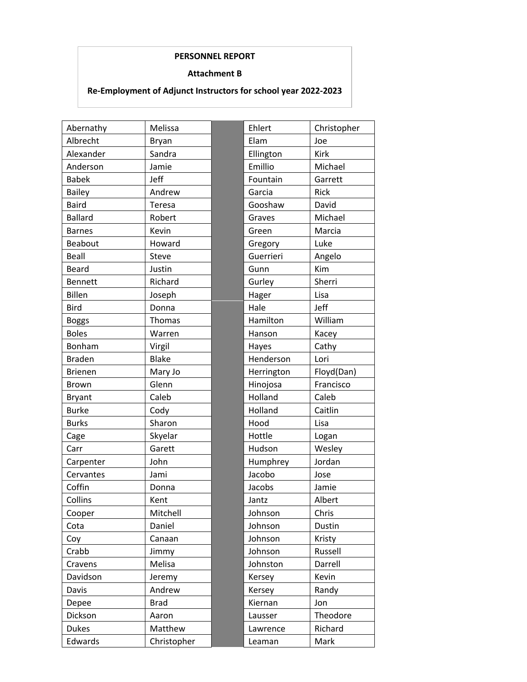## **PERSONNEL REPORT**

### **Attachment B**

# **Re-Employment of Adjunct Instructors for school year 2022-2023**

| Abernathy      | Melissa      | Ehlert     | Christopher |
|----------------|--------------|------------|-------------|
| Albrecht       | Bryan        | Elam       | Joe         |
| Alexander      | Sandra       | Ellington  | <b>Kirk</b> |
| Anderson       | Jamie        | Emillio    | Michael     |
| <b>Babek</b>   | Jeff         | Fountain   | Garrett     |
| <b>Bailey</b>  | Andrew       | Garcia     | Rick        |
| <b>Baird</b>   | Teresa       | Gooshaw    | David       |
| <b>Ballard</b> | Robert       | Graves     | Michael     |
| <b>Barnes</b>  | Kevin        | Green      | Marcia      |
| Beabout        | Howard       | Gregory    | Luke        |
| <b>Beall</b>   | Steve        | Guerrieri  | Angelo      |
| <b>Beard</b>   | Justin       | Gunn       | Kim         |
| <b>Bennett</b> | Richard      | Gurley     | Sherri      |
| <b>Billen</b>  | Joseph       | Hager      | Lisa        |
| <b>Bird</b>    | Donna        | Hale       | Jeff        |
| <b>Boggs</b>   | Thomas       | Hamilton   | William     |
| <b>Boles</b>   | Warren       | Hanson     | Kacey       |
| Bonham         | Virgil       | Hayes      | Cathy       |
| <b>Braden</b>  | <b>Blake</b> | Henderson  | Lori        |
| <b>Brienen</b> | Mary Jo      | Herrington | Floyd(Dan)  |
| <b>Brown</b>   | Glenn        | Hinojosa   | Francisco   |
| <b>Bryant</b>  | Caleb        | Holland    | Caleb       |
| <b>Burke</b>   | Cody         | Holland    | Caitlin     |
| <b>Burks</b>   | Sharon       | Hood       | Lisa        |
| Cage           | Skyelar      | Hottle     | Logan       |
| Carr           | Garett       | Hudson     | Wesley      |
| Carpenter      | John         | Humphrey   | Jordan      |
| Cervantes      | Jami         | Jacobo     | Jose        |
| Coffin         | Donna        | Jacobs     | Jamie       |
| Collins        | Kent         | Jantz      | Albert      |
| Cooper         | Mitchell     | Johnson    | Chris       |
| Cota           | Daniel       | Johnson    | Dustin      |
| Coy            | Canaan       | Johnson    | Kristy      |
| Crabb          | Jimmy        | Johnson    | Russell     |
| Cravens        | Melisa       | Johnston   | Darrell     |
| Davidson       | Jeremy       | Kersey     | Kevin       |
| Davis          | Andrew       | Kersey     | Randy       |
| Depee          | <b>Brad</b>  | Kiernan    | Jon         |
| Dickson        | Aaron        | Lausser    | Theodore    |
| <b>Dukes</b>   | Matthew      | Lawrence   | Richard     |
| Edwards        | Christopher  | Leaman     | Mark        |

| Ehlert     | Christopher |
|------------|-------------|
| Elam       | Joe         |
| Ellington  | Kirk        |
| Emillio    | Michael     |
| Fountain   | Garrett     |
| Garcia     | Rick        |
| Gooshaw    | David       |
| Graves     | Michael     |
| Green      | Marcia      |
| Gregory    | Luke        |
| Guerrieri  | Angelo      |
| Gunn       | Kim         |
| Gurley     | Sherri      |
| Hager      | Lisa        |
| Hale       | Jeff        |
| Hamilton   | William     |
| Hanson     | Kacey       |
| Hayes      | Cathy       |
| Henderson  | Lori        |
| Herrington | Floyd(Dan)  |
| Hinojosa   | Francisco   |
| Holland    | Caleb       |
| Holland    | Caitlin     |
| Hood       | Lisa        |
| Hottle     | Logan       |
| Hudson     | Wesley      |
| Humphrey   | Jordan      |
| Jacobo     | Jose        |
| Jacobs     | Jamie       |
| Jantz      | Albert      |
| Johnson    | Chris       |
| Johnson    | Dustin      |
| Johnson    | Kristy      |
| Johnson    | Russell     |
| Johnston   | Darrell     |
| Kersey     | Kevin       |
| Kersey     | Randy       |
| Kiernan    | Jon         |
| Lausser    | Theodore    |
| Lawrence   | Richard     |
| Leaman     | Mark        |